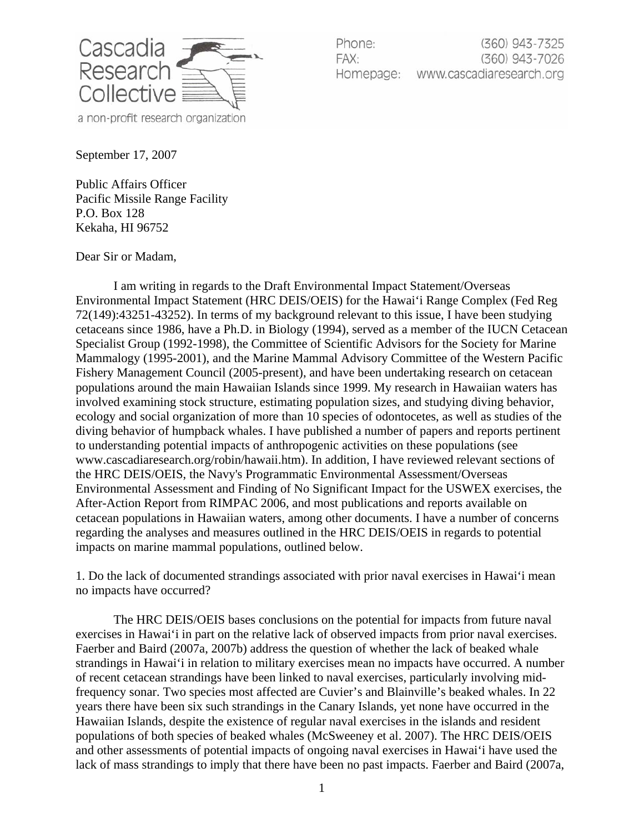

Phone: (360) 943-7325 FAX: (360) 943-7026 Homepage: www.cascadiaresearch.org

September 17, 2007

Public Affairs Officer Pacific Missile Range Facility P.O. Box 128 Kekaha, HI 96752

Dear Sir or Madam,

I am writing in regards to the Draft Environmental Impact Statement/Overseas Environmental Impact Statement (HRC DEIS/OEIS) for the Hawai'i Range Complex (Fed Reg 72(149):43251-43252). In terms of my background relevant to this issue, I have been studying cetaceans since 1986, have a Ph.D. in Biology (1994), served as a member of the IUCN Cetacean Specialist Group (1992-1998), the Committee of Scientific Advisors for the Society for Marine Mammalogy (1995-2001), and the Marine Mammal Advisory Committee of the Western Pacific Fishery Management Council (2005-present), and have been undertaking research on cetacean populations around the main Hawaiian Islands since 1999. My research in Hawaiian waters has involved examining stock structure, estimating population sizes, and studying diving behavior, ecology and social organization of more than 10 species of odontocetes, as well as studies of the diving behavior of humpback whales. I have published a number of papers and reports pertinent to understanding potential impacts of anthropogenic activities on these populations (see www.cascadiaresearch.org/robin/hawaii.htm). In addition, I have reviewed relevant sections of the HRC DEIS/OEIS, the Navy's Programmatic Environmental Assessment/Overseas Environmental Assessment and Finding of No Significant Impact for the USWEX exercises, the After-Action Report from RIMPAC 2006, and most publications and reports available on cetacean populations in Hawaiian waters, among other documents. I have a number of concerns regarding the analyses and measures outlined in the HRC DEIS/OEIS in regards to potential impacts on marine mammal populations, outlined below.

1. Do the lack of documented strandings associated with prior naval exercises in Hawai'i mean no impacts have occurred?

The HRC DEIS/OEIS bases conclusions on the potential for impacts from future naval exercises in Hawai'i in part on the relative lack of observed impacts from prior naval exercises. Faerber and Baird (2007a, 2007b) address the question of whether the lack of beaked whale strandings in Hawai'i in relation to military exercises mean no impacts have occurred. A number of recent cetacean strandings have been linked to naval exercises, particularly involving midfrequency sonar. Two species most affected are Cuvier's and Blainville's beaked whales. In 22 years there have been six such strandings in the Canary Islands, yet none have occurred in the Hawaiian Islands, despite the existence of regular naval exercises in the islands and resident populations of both species of beaked whales (McSweeney et al. 2007). The HRC DEIS/OEIS and other assessments of potential impacts of ongoing naval exercises in Hawai'i have used the lack of mass strandings to imply that there have been no past impacts. Faerber and Baird (2007a,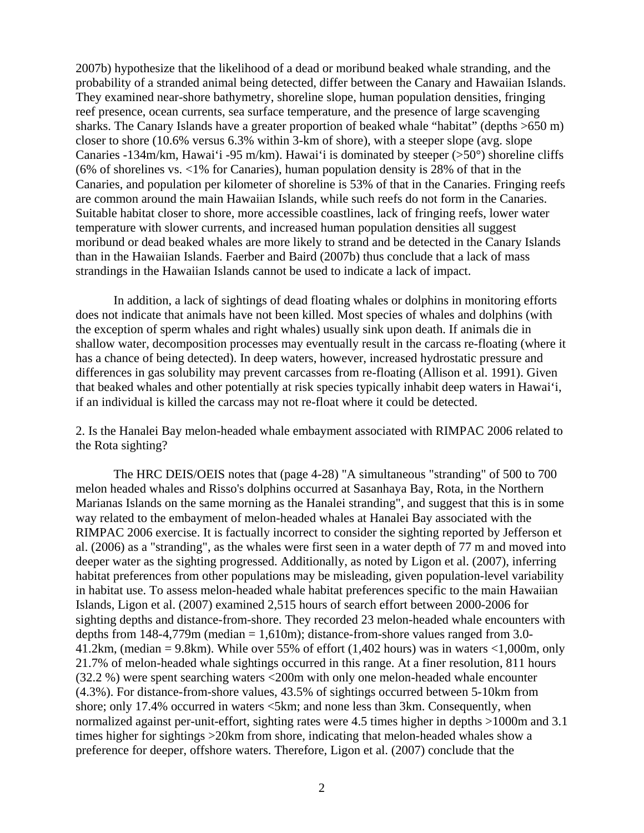2007b) hypothesize that the likelihood of a dead or moribund beaked whale stranding, and the probability of a stranded animal being detected, differ between the Canary and Hawaiian Islands. They examined near-shore bathymetry, shoreline slope, human population densities, fringing reef presence, ocean currents, sea surface temperature, and the presence of large scavenging sharks. The Canary Islands have a greater proportion of beaked whale "habitat" (depths >650 m) closer to shore (10.6% versus 6.3% within 3-km of shore), with a steeper slope (avg. slope Canaries -134m/km, Hawai'i -95 m/km). Hawai'i is dominated by steeper (>50°) shoreline cliffs (6% of shorelines vs. <1% for Canaries), human population density is 28% of that in the Canaries, and population per kilometer of shoreline is 53% of that in the Canaries. Fringing reefs are common around the main Hawaiian Islands, while such reefs do not form in the Canaries. Suitable habitat closer to shore, more accessible coastlines, lack of fringing reefs, lower water temperature with slower currents, and increased human population densities all suggest moribund or dead beaked whales are more likely to strand and be detected in the Canary Islands than in the Hawaiian Islands. Faerber and Baird (2007b) thus conclude that a lack of mass strandings in the Hawaiian Islands cannot be used to indicate a lack of impact.

In addition, a lack of sightings of dead floating whales or dolphins in monitoring efforts does not indicate that animals have not been killed. Most species of whales and dolphins (with the exception of sperm whales and right whales) usually sink upon death. If animals die in shallow water, decomposition processes may eventually result in the carcass re-floating (where it has a chance of being detected). In deep waters, however, increased hydrostatic pressure and differences in gas solubility may prevent carcasses from re-floating (Allison et al. 1991). Given that beaked whales and other potentially at risk species typically inhabit deep waters in Hawai'i, if an individual is killed the carcass may not re-float where it could be detected.

2. Is the Hanalei Bay melon-headed whale embayment associated with RIMPAC 2006 related to the Rota sighting?

The HRC DEIS/OEIS notes that (page 4-28) "A simultaneous "stranding" of 500 to 700 melon headed whales and Risso's dolphins occurred at Sasanhaya Bay, Rota, in the Northern Marianas Islands on the same morning as the Hanalei stranding", and suggest that this is in some way related to the embayment of melon-headed whales at Hanalei Bay associated with the RIMPAC 2006 exercise. It is factually incorrect to consider the sighting reported by Jefferson et al. (2006) as a "stranding", as the whales were first seen in a water depth of 77 m and moved into deeper water as the sighting progressed. Additionally, as noted by Ligon et al. (2007), inferring habitat preferences from other populations may be misleading, given population-level variability in habitat use. To assess melon-headed whale habitat preferences specific to the main Hawaiian Islands, Ligon et al. (2007) examined 2,515 hours of search effort between 2000-2006 for sighting depths and distance-from-shore. They recorded 23 melon-headed whale encounters with depths from  $148-4,779$ m (median = 1,610m); distance-from-shore values ranged from 3.0-41.2km, (median = 9.8km). While over 55% of effort (1,402 hours) was in waters  $\langle 1,000m, \text{only} \rangle$ 21.7% of melon-headed whale sightings occurred in this range. At a finer resolution, 811 hours (32.2 %) were spent searching waters <200m with only one melon-headed whale encounter (4.3%). For distance-from-shore values, 43.5% of sightings occurred between 5-10km from shore; only 17.4% occurred in waters  $\leq 5$ km; and none less than 3km. Consequently, when normalized against per-unit-effort, sighting rates were 4.5 times higher in depths >1000m and 3.1 times higher for sightings >20km from shore, indicating that melon-headed whales show a preference for deeper, offshore waters. Therefore, Ligon et al. (2007) conclude that the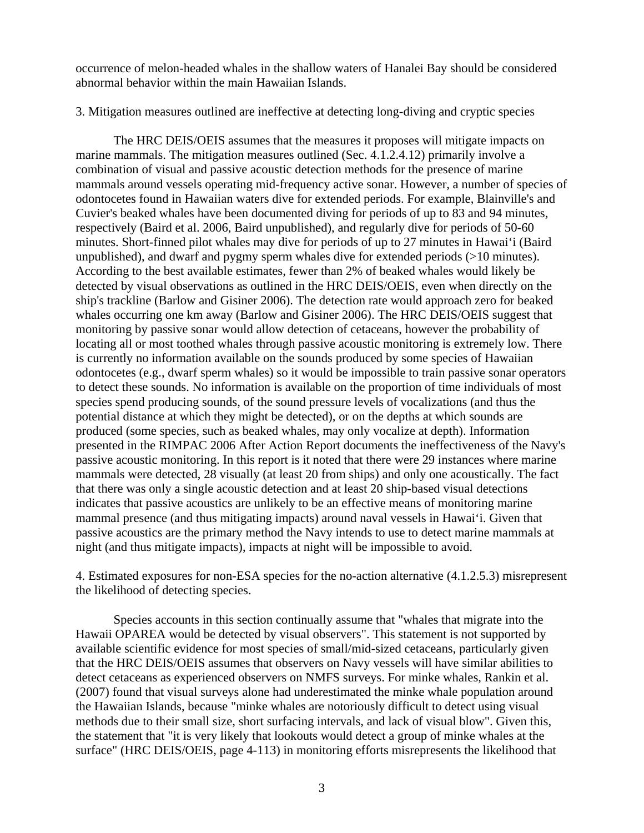occurrence of melon-headed whales in the shallow waters of Hanalei Bay should be considered abnormal behavior within the main Hawaiian Islands.

3. Mitigation measures outlined are ineffective at detecting long-diving and cryptic species

The HRC DEIS/OEIS assumes that the measures it proposes will mitigate impacts on marine mammals. The mitigation measures outlined (Sec. 4.1.2.4.12) primarily involve a combination of visual and passive acoustic detection methods for the presence of marine mammals around vessels operating mid-frequency active sonar. However, a number of species of odontocetes found in Hawaiian waters dive for extended periods. For example, Blainville's and Cuvier's beaked whales have been documented diving for periods of up to 83 and 94 minutes, respectively (Baird et al. 2006, Baird unpublished), and regularly dive for periods of 50-60 minutes. Short-finned pilot whales may dive for periods of up to 27 minutes in Hawai'i (Baird unpublished), and dwarf and pygmy sperm whales dive for extended periods (>10 minutes). According to the best available estimates, fewer than 2% of beaked whales would likely be detected by visual observations as outlined in the HRC DEIS/OEIS, even when directly on the ship's trackline (Barlow and Gisiner 2006). The detection rate would approach zero for beaked whales occurring one km away (Barlow and Gisiner 2006). The HRC DEIS/OEIS suggest that monitoring by passive sonar would allow detection of cetaceans, however the probability of locating all or most toothed whales through passive acoustic monitoring is extremely low. There is currently no information available on the sounds produced by some species of Hawaiian odontocetes (e.g., dwarf sperm whales) so it would be impossible to train passive sonar operators to detect these sounds. No information is available on the proportion of time individuals of most species spend producing sounds, of the sound pressure levels of vocalizations (and thus the potential distance at which they might be detected), or on the depths at which sounds are produced (some species, such as beaked whales, may only vocalize at depth). Information presented in the RIMPAC 2006 After Action Report documents the ineffectiveness of the Navy's passive acoustic monitoring. In this report is it noted that there were 29 instances where marine mammals were detected, 28 visually (at least 20 from ships) and only one acoustically. The fact that there was only a single acoustic detection and at least 20 ship-based visual detections indicates that passive acoustics are unlikely to be an effective means of monitoring marine mammal presence (and thus mitigating impacts) around naval vessels in Hawai'i. Given that passive acoustics are the primary method the Navy intends to use to detect marine mammals at night (and thus mitigate impacts), impacts at night will be impossible to avoid.

4. Estimated exposures for non-ESA species for the no-action alternative (4.1.2.5.3) misrepresent the likelihood of detecting species.

Species accounts in this section continually assume that "whales that migrate into the Hawaii OPAREA would be detected by visual observers". This statement is not supported by available scientific evidence for most species of small/mid-sized cetaceans, particularly given that the HRC DEIS/OEIS assumes that observers on Navy vessels will have similar abilities to detect cetaceans as experienced observers on NMFS surveys. For minke whales, Rankin et al. (2007) found that visual surveys alone had underestimated the minke whale population around the Hawaiian Islands, because "minke whales are notoriously difficult to detect using visual methods due to their small size, short surfacing intervals, and lack of visual blow". Given this, the statement that "it is very likely that lookouts would detect a group of minke whales at the surface" (HRC DEIS/OEIS, page 4-113) in monitoring efforts misrepresents the likelihood that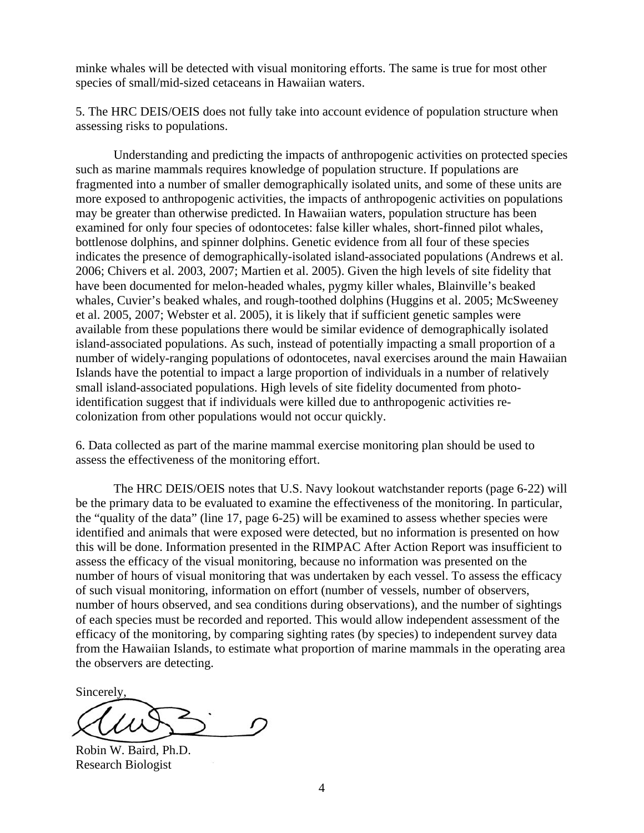minke whales will be detected with visual monitoring efforts. The same is true for most other species of small/mid-sized cetaceans in Hawaiian waters.

5. The HRC DEIS/OEIS does not fully take into account evidence of population structure when assessing risks to populations.

 Understanding and predicting the impacts of anthropogenic activities on protected species such as marine mammals requires knowledge of population structure. If populations are fragmented into a number of smaller demographically isolated units, and some of these units are more exposed to anthropogenic activities, the impacts of anthropogenic activities on populations may be greater than otherwise predicted. In Hawaiian waters, population structure has been examined for only four species of odontocetes: false killer whales, short-finned pilot whales, bottlenose dolphins, and spinner dolphins. Genetic evidence from all four of these species indicates the presence of demographically-isolated island-associated populations (Andrews et al. 2006; Chivers et al. 2003, 2007; Martien et al. 2005). Given the high levels of site fidelity that have been documented for melon-headed whales, pygmy killer whales, Blainville's beaked whales, Cuvier's beaked whales, and rough-toothed dolphins (Huggins et al. 2005; McSweeney et al. 2005, 2007; Webster et al. 2005), it is likely that if sufficient genetic samples were available from these populations there would be similar evidence of demographically isolated island-associated populations. As such, instead of potentially impacting a small proportion of a number of widely-ranging populations of odontocetes, naval exercises around the main Hawaiian Islands have the potential to impact a large proportion of individuals in a number of relatively small island-associated populations. High levels of site fidelity documented from photoidentification suggest that if individuals were killed due to anthropogenic activities recolonization from other populations would not occur quickly.

6. Data collected as part of the marine mammal exercise monitoring plan should be used to assess the effectiveness of the monitoring effort.

 The HRC DEIS/OEIS notes that U.S. Navy lookout watchstander reports (page 6-22) will be the primary data to be evaluated to examine the effectiveness of the monitoring. In particular, the "quality of the data" (line 17, page 6-25) will be examined to assess whether species were identified and animals that were exposed were detected, but no information is presented on how this will be done. Information presented in the RIMPAC After Action Report was insufficient to assess the efficacy of the visual monitoring, because no information was presented on the number of hours of visual monitoring that was undertaken by each vessel. To assess the efficacy of such visual monitoring, information on effort (number of vessels, number of observers, number of hours observed, and sea conditions during observations), and the number of sightings of each species must be recorded and reported. This would allow independent assessment of the efficacy of the monitoring, by comparing sighting rates (by species) to independent survey data from the Hawaiian Islands, to estimate what proportion of marine mammals in the operating area the observers are detecting.

Sincerely,

Robin W. Baird, Ph.D. Research Biologist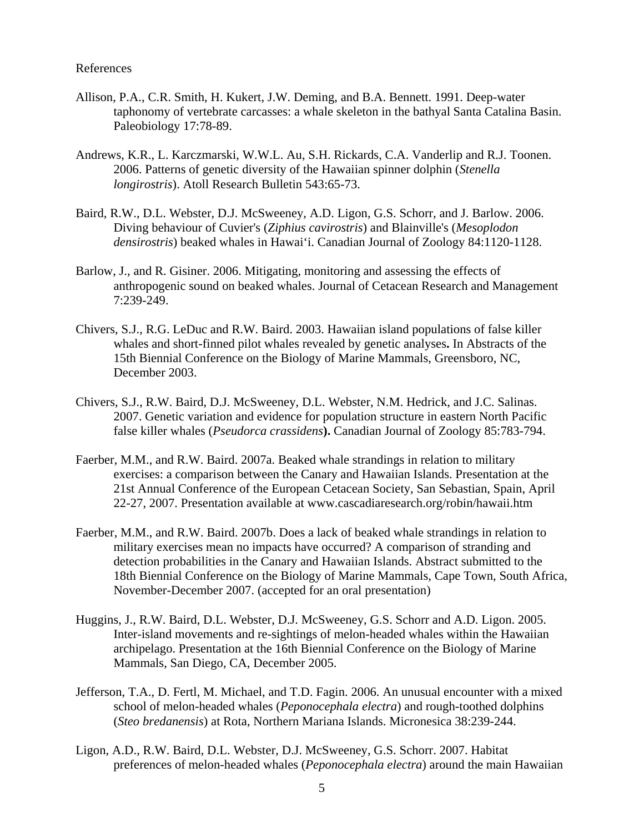## References

- Allison, P.A., C.R. Smith, H. Kukert, J.W. Deming, and B.A. Bennett. 1991. Deep-water taphonomy of vertebrate carcasses: a whale skeleton in the bathyal Santa Catalina Basin. Paleobiology 17:78-89.
- Andrews, K.R., L. Karczmarski, W.W.L. Au, S.H. Rickards, C.A. Vanderlip and R.J. Toonen. 2006. Patterns of genetic diversity of the Hawaiian spinner dolphin (*Stenella longirostris*). Atoll Research Bulletin 543:65-73.
- Baird, R.W., D.L. Webster, D.J. McSweeney, A.D. Ligon, G.S. Schorr, and J. Barlow. 2006. Diving behaviour of Cuvier's (*Ziphius cavirostris*) and Blainville's (*Mesoplodon densirostris*) beaked whales in Hawai'i. Canadian Journal of Zoology 84:1120-1128.
- Barlow, J., and R. Gisiner. 2006. Mitigating, monitoring and assessing the effects of anthropogenic sound on beaked whales. Journal of Cetacean Research and Management 7:239-249.
- Chivers, S.J., R.G. LeDuc and R.W. Baird. 2003. Hawaiian island populations of false killer whales and short-finned pilot whales revealed by genetic analyses**.** In Abstracts of the 15th Biennial Conference on the Biology of Marine Mammals, Greensboro, NC, December 2003.
- Chivers, S.J., R.W. Baird, D.J. McSweeney, D.L. Webster, N.M. Hedrick, and J.C. Salinas. 2007. Genetic variation and evidence for population structure in eastern North Pacific false killer whales (*Pseudorca crassidens***).** Canadian Journal of Zoology 85:783-794.
- Faerber, M.M., and R.W. Baird. 2007a. Beaked whale strandings in relation to military exercises: a comparison between the Canary and Hawaiian Islands. Presentation at the 21st Annual Conference of the European Cetacean Society, San Sebastian, Spain, April 22-27, 2007. Presentation available at www.cascadiaresearch.org/robin/hawaii.htm
- Faerber, M.M., and R.W. Baird. 2007b. Does a lack of beaked whale strandings in relation to military exercises mean no impacts have occurred? A comparison of stranding and detection probabilities in the Canary and Hawaiian Islands. Abstract submitted to the 18th Biennial Conference on the Biology of Marine Mammals, Cape Town, South Africa, November-December 2007. (accepted for an oral presentation)
- Huggins, J., R.W. Baird, D.L. Webster, D.J. McSweeney, G.S. Schorr and A.D. Ligon. 2005. Inter-island movements and re-sightings of melon-headed whales within the Hawaiian archipelago. Presentation at the 16th Biennial Conference on the Biology of Marine Mammals, San Diego, CA, December 2005.
- Jefferson, T.A., D. Fertl, M. Michael, and T.D. Fagin. 2006. An unusual encounter with a mixed school of melon-headed whales (*Peponocephala electra*) and rough-toothed dolphins (*Steo bredanensis*) at Rota, Northern Mariana Islands. Micronesica 38:239-244.
- Ligon, A.D., R.W. Baird, D.L. Webster, D.J. McSweeney, G.S. Schorr. 2007. Habitat preferences of melon-headed whales (*Peponocephala electra*) around the main Hawaiian